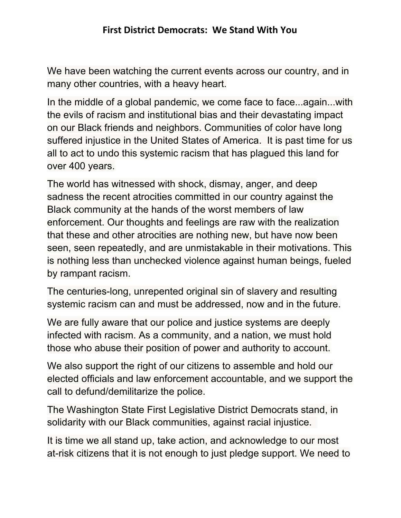We have been watching the current events across our country, and in many other countries, with a heavy heart.

In the middle of a global pandemic, we come face to face...again...with the evils of racism and institutional bias and their devastating impact on our Black friends and neighbors. Communities of color have long suffered injustice in the United States of America. It is past time for us all to act to undo this systemic racism that has plagued this land for over 400 years.

The world has witnessed with shock, dismay, anger, and deep sadness the recent atrocities committed in our country against the Black community at the hands of the worst members of law enforcement. Our thoughts and feelings are raw with the realization that these and other atrocities are nothing new, but have now been seen, seen repeatedly, and are unmistakable in their motivations. This is nothing less than unchecked violence against human beings, fueled by rampant racism.

The centuries-long, unrepented original sin of slavery and resulting systemic racism can and must be addressed, now and in the future.

We are fully aware that our police and justice systems are deeply infected with racism. As a community, and a nation, we must hold those who abuse their position of power and authority to account.

We also support the right of our citizens to assemble and hold our elected officials and law enforcement accountable, and we support the call to defund/demilitarize the police.

The Washington State First Legislative District Democrats stand, in solidarity with our Black communities, against racial injustice.

It is time we all stand up, take action, and acknowledge to our most at-risk citizens that it is not enough to just pledge support. We need to